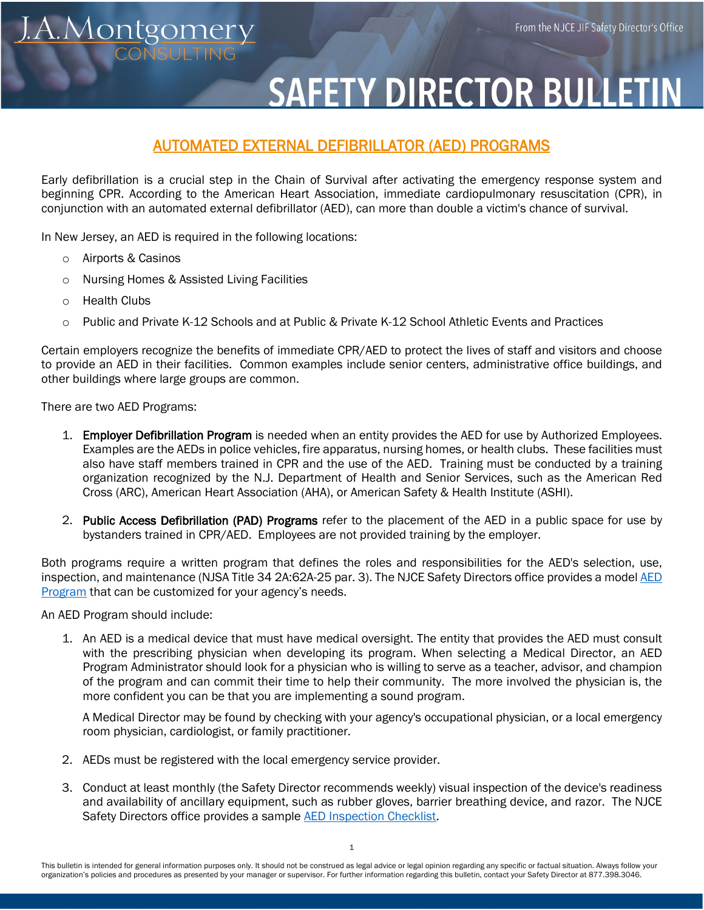## **SAFETY DIRECTOR BULLETIN**

## AUTOMATED EXTERNAL DEFIBRILLATOR (AED) PROGRAMS

 Early defibrillation is a crucial step in the Chain of Survival after activating the emergency response system and beginning CPR. According to the American Heart Association, immediate cardiopulmonary resuscitation (CPR), in conjunction with an automated external defibrillator (AED), can more than double a victim's chance of survival.

In New Jersey, an AED is required in the following locations:

o Airports & Casinos

<u>A.Montgomery</u>

- o Nursing Homes & Assisted Living Facilities
- o Health Clubs
- o Public and Private K-12 Schools and at Public & Private K-12 School Athletic Events and Practices

Certain employers recognize the benefits of immediate CPR/AED to protect the lives of staff and visitors and choose to provide an AED in their facilities. Common examples include senior centers, administrative office buildings, and other buildings where large groups are common.

There are two AED Programs:

- 1. Employer Defibrillation Program is needed when an entity provides the AED for use by Authorized Employees. Examples are the AEDs in police vehicles, fire apparatus, nursing homes, or health clubs. These facilities must also have staff members trained in CPR and the use of the AED. Training must be conducted by a training organization recognized by the N.J. Department of Health and Senior Services, such as the American Red Cross (ARC), American Heart Association (AHA), or American Safety & Health Institute (ASHI).
- 2. Public Access Defibrillation (PAD) Programs refer to the placement of the AED in a public space for use by bystanders trained in CPR/AED. Employees are not provided training by the employer.

Both programs require a written program that defines the roles and responsibilities for the AED's selection, use, inspection, and maintenance (NJSA Title 34 2A:62A-25 par. 3). The NJCE Safety Directors office provides a model AED [Program](https://njce.org/wp-content/uploads/2022/05/AED-Program-MODEL.doc) that can be customized for your agency's needs.

An AED Program should include:

1. An AED is a medical device that must have medical oversight. The entity that provides the AED must consult with the prescribing physician when developing its program. When selecting a Medical Director, an AED Program Administrator should look for a physician who is willing to serve as a teacher, advisor, and champion of the program and can commit their time to help their community. The more involved the physician is, the more confident you can be that you are implementing a sound program.

A Medical Director may be found by checking with your agency's occupational physician, or a local emergency room physician, cardiologist, or family practitioner.

- 2. AEDs must be registered with the local emergency service provider.
- 3. Conduct at least monthly (the Safety Director recommends weekly) visual inspection of the device's readiness and availability of ancillary equipment, such as rubber gloves, barrier breathing device, and razor. The NJCE Safety Directors office provides a sample [AED Inspection Checklist.](https://njce.org/wp-content/uploads/2022/05/AED-Inspection-Checklist-2022.docx)